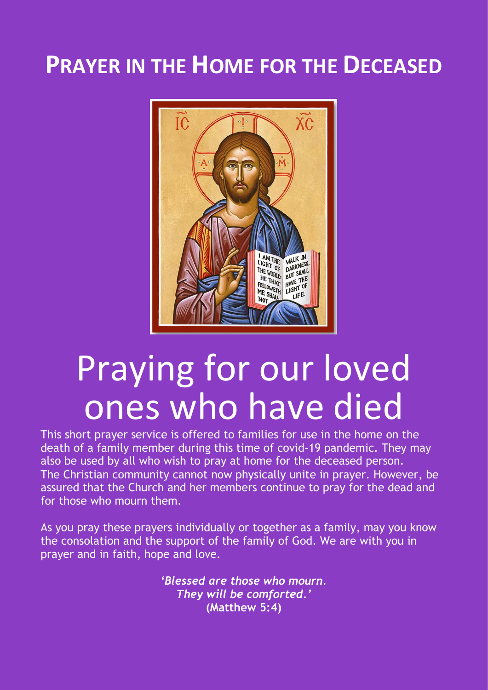## **PRAYER IN THE HOME FOR THE DECEASED**



# Praying for our loved ones who have died

This short prayer service is offered to families for use in the home on the death of a family member during this time of covid-19 pandemic. They may also be used by all who wish to pray at home for the deceased person. The Christian community cannot now physically unite in prayer. However, be assured that the Church and her members continue to pray for the dead and for those who mourn them.

As you pray these prayers individually or together as a family, may you know the consolation and the support of the family of God. We are with you in prayer and in faith, hope and love.

> *'Blessed are those who mourn. They will be comforted.'* **(Matthew 5:4)**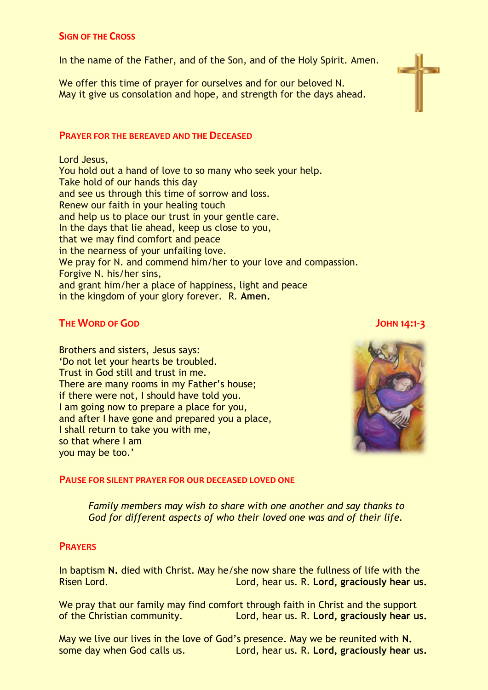#### **SIGN OF THE CROSS**

In the name of the Father, and of the Son, and of the Holy Spirit. Amen.

We offer this time of prayer for ourselves and for our beloved N. May it give us consolation and hope, and strength for the days ahead.

#### **PRAYER FOR THE BEREAVED AND THE DECEASED**

Lord Jesus, You hold out a hand of love to so many who seek your help. Take hold of our hands this day and see us through this time of sorrow and loss. Renew our faith in your healing touch and help us to place our trust in your gentle care. In the days that lie ahead, keep us close to you, that we may find comfort and peace in the nearness of your unfailing love. We pray for N, and commend him/her to your love and compassion. Forgive N. his/her sins, and grant him/her a place of happiness, light and peace in the kingdom of your glory forever. R. **Amen.**

### **THE WORD OF GOD JOHN 14:1-3**

Brothers and sisters, Jesus says: 'Do not let your hearts be troubled. Trust in God still and trust in me. There are many rooms in my Father's house; if there were not, I should have told you. I am going now to prepare a place for you, and after I have gone and prepared you a place, I shall return to take you with me, so that where I am you may be too.'



#### **PAUSE FOR SILENT PRAYER FOR OUR DECEASED LOVED ONE**

*Family members may wish to share with one another and say thanks to God for different aspects of who their loved one was and of their life.*

#### **PRAYERS**

In baptism **N.** died with Christ. May he/she now share the fullness of life with the Risen Lord. Lord, hear us. R. **Lord, graciously hear us.**

We pray that our family may find comfort through faith in Christ and the support of the Christian community. Lord, hear us. R. **Lord, graciously hear us.**

May we live our lives in the love of God's presence. May we be reunited with **N.**  some day when God calls us. Lord, hear us. R. **Lord, graciously hear us.**